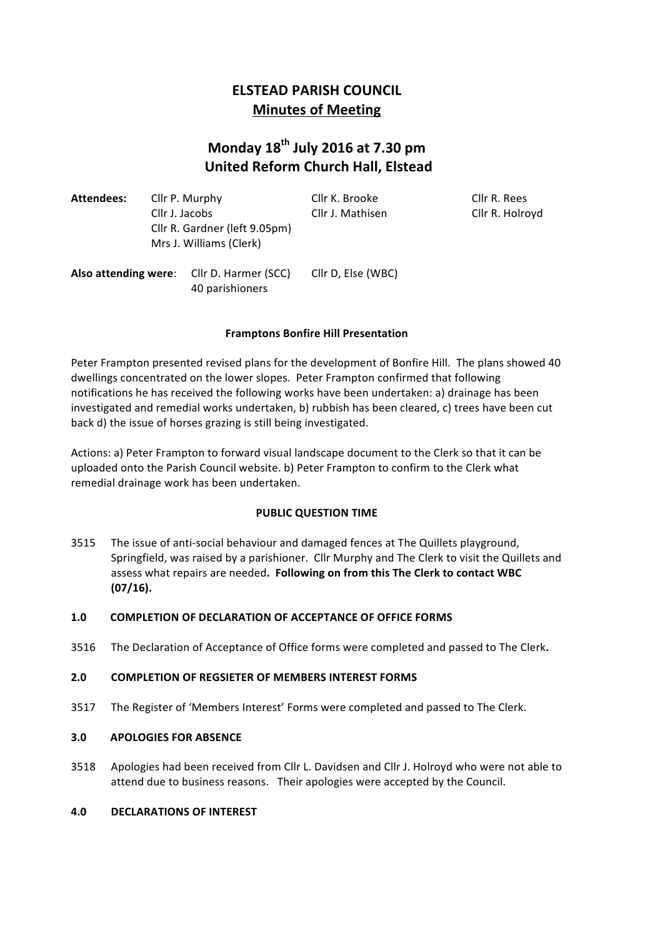# **ELSTEAD PARISH COUNCIL Minutes of Meeting**

# **Monday 18th July 2016 at 7.30 pm United Reform Church Hall, Elstead**

| Attendees: | Cllr P. Murphy                | Cllr K. Brooke   | Cllr R. Rees  |
|------------|-------------------------------|------------------|---------------|
|            | Cllr J. Jacobs                | Cllr J. Mathisen | Cllr R. Holrc |
|            | Cllr R. Gardner (left 9.05pm) |                  |               |
|            | Mrs J. Williams (Clerk)       |                  |               |
|            |                               |                  |               |

Cllr R. Holroyd

Also attending were: Cllr D. Harmer (SCC) Cllr D, Else (WBC) 40 parishioners

# **Framptons Bonfire Hill Presentation**

Peter Frampton presented revised plans for the development of Bonfire Hill. The plans showed 40 dwellings concentrated on the lower slopes. Peter Frampton confirmed that following notifications he has received the following works have been undertaken: a) drainage has been investigated and remedial works undertaken, b) rubbish has been cleared, c) trees have been cut back d) the issue of horses grazing is still being investigated.

Actions: a) Peter Frampton to forward visual landscape document to the Clerk so that it can be uploaded onto the Parish Council website. b) Peter Frampton to confirm to the Clerk what remedial drainage work has been undertaken.

# **PUBLIC QUESTION TIME**

3515 The issue of anti-social behaviour and damaged fences at The Quillets playground, Springfield, was raised by a parishioner. Cllr Murphy and The Clerk to visit the Quillets and assess what repairs are needed. Following on from this The Clerk to contact WBC **(07/16).**

# **1.0 COMPLETION OF DECLARATION OF ACCEPTANCE OF OFFICE FORMS**

3516 The Declaration of Acceptance of Office forms were completed and passed to The Clerk.

# **2.0 COMPLETION OF REGSIETER OF MEMBERS INTEREST FORMS**

3517 The Register of 'Members Interest' Forms were completed and passed to The Clerk.

# **3.0 APOLOGIES FOR ABSENCE**

3518 Apologies had been received from Cllr L. Davidsen and Cllr J. Holroyd who were not able to attend due to business reasons. Their apologies were accepted by the Council.

# **4.0 DECLARATIONS OF INTEREST**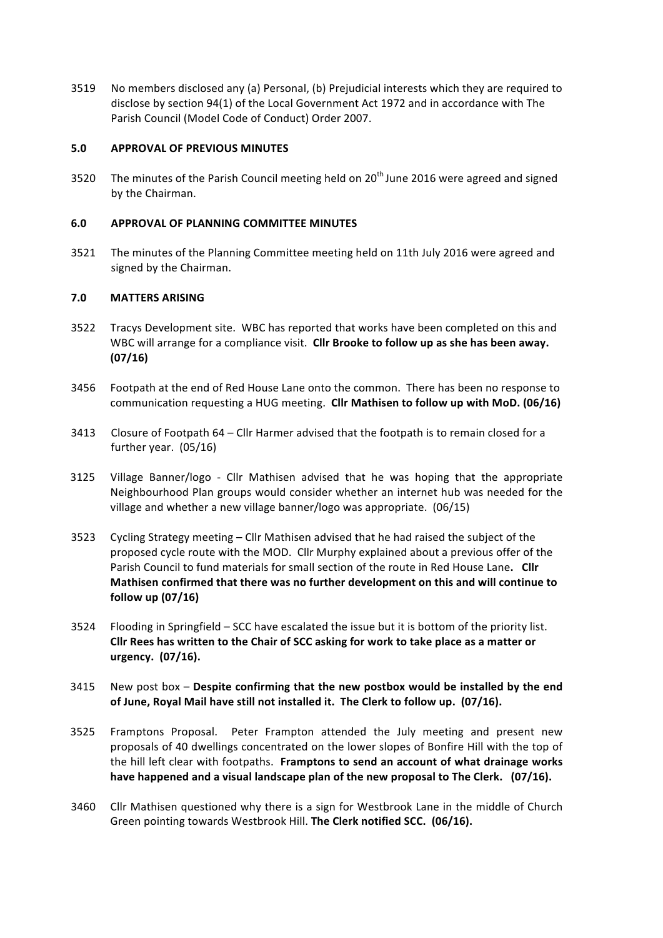3519 No members disclosed any (a) Personal, (b) Prejudicial interests which they are required to disclose by section 94(1) of the Local Government Act 1972 and in accordance with The Parish Council (Model Code of Conduct) Order 2007.

# **5.0 APPROVAL OF PREVIOUS MINUTES**

3520 The minutes of the Parish Council meeting held on 20<sup>th</sup> June 2016 were agreed and signed by the Chairman.

# **6.0 APPROVAL OF PLANNING COMMITTEE MINUTES**

3521 The minutes of the Planning Committee meeting held on 11th July 2016 were agreed and signed by the Chairman.

# **7.0 MATTERS ARISING**

- 3522 Tracys Development site. WBC has reported that works have been completed on this and WBC will arrange for a compliance visit. Cllr Brooke to follow up as she has been away. **(07/16)**
- 3456 Footpath at the end of Red House Lane onto the common. There has been no response to communication requesting a HUG meeting. Cllr Mathisen to follow up with MoD. (06/16)
- 3413 Closure of Footpath 64 Cllr Harmer advised that the footpath is to remain closed for a further year.  $(05/16)$
- 3125 Village Banner/logo Cllr Mathisen advised that he was hoping that the appropriate Neighbourhood Plan groups would consider whether an internet hub was needed for the village and whether a new village banner/logo was appropriate. (06/15)
- 3523 Cycling Strategy meeting  $-$  Cllr Mathisen advised that he had raised the subject of the proposed cycle route with the MOD. Cllr Murphy explained about a previous offer of the Parish Council to fund materials for small section of the route in Red House Lane. Cllr Mathisen confirmed that there was no further development on this and will continue to **follow up (07/16)**
- 3524 Flooding in Springfield SCC have escalated the issue but it is bottom of the priority list. Cllr Rees has written to the Chair of SCC asking for work to take place as a matter or **urgency.** (07/16).
- 3415 New post box Despite confirming that the new postbox would be installed by the end of June, Royal Mail have still not installed it. The Clerk to follow up. (07/16).
- 3525 Framptons Proposal. Peter Frampton attended the July meeting and present new proposals of 40 dwellings concentrated on the lower slopes of Bonfire Hill with the top of the hill left clear with footpaths. Framptons to send an account of what drainage works have happened and a visual landscape plan of the new proposal to The Clerk. (07/16).
- 3460 Cllr Mathisen questioned why there is a sign for Westbrook Lane in the middle of Church Green pointing towards Westbrook Hill. The Clerk notified SCC. (06/16).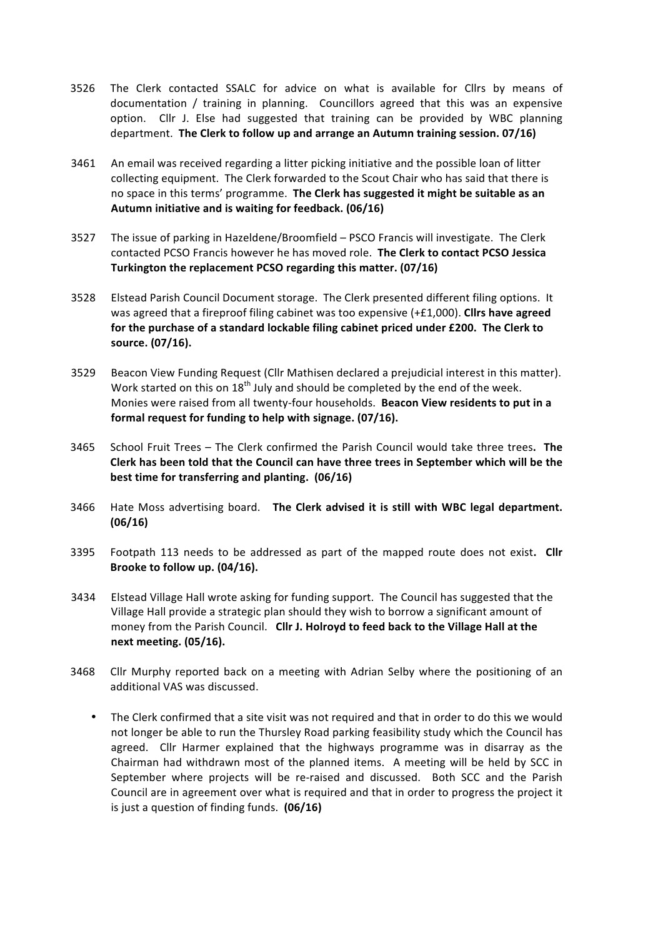- 3526 The Clerk contacted SSALC for advice on what is available for Cllrs by means of documentation / training in planning. Councillors agreed that this was an expensive option. Cllr J. Else had suggested that training can be provided by WBC planning department. The Clerk to follow up and arrange an Autumn training session. 07/16)
- 3461 An email was received regarding a litter picking initiative and the possible loan of litter collecting equipment. The Clerk forwarded to the Scout Chair who has said that there is no space in this terms' programme. The Clerk has suggested it might be suitable as an Autumn initiative and is waiting for feedback. (06/16)
- 3527 The issue of parking in Hazeldene/Broomfield PSCO Francis will investigate. The Clerk contacted PCSO Francis however he has moved role. **The Clerk to contact PCSO Jessica Turkington the replacement PCSO regarding this matter. (07/16)**
- 3528 Elstead Parish Council Document storage. The Clerk presented different filing options. It was agreed that a fireproof filing cabinet was too expensive (+£1,000). Cllrs have agreed for the purchase of a standard lockable filing cabinet priced under £200. The Clerk to **source. (07/16).**
- 3529 Beacon View Funding Request (Cllr Mathisen declared a prejudicial interest in this matter). Work started on this on  $18<sup>th</sup>$  July and should be completed by the end of the week. Monies were raised from all twenty-four households. Beacon View residents to put in a **formal request for funding to help with signage. (07/16).**
- 3465 School Fruit Trees The Clerk confirmed the Parish Council would take three trees. The **Clerk** has been told that the Council can have three trees in September which will be the **best time for transferring and planting. (06/16)**
- 3466 Hate Moss advertising board. The Clerk advised it is still with WBC legal department. **(06/16)**
- 3395 Footpath 113 needs to be addressed as part of the mapped route does not exist. Cllr Brooke to follow up. (04/16).
- 3434 Elstead Village Hall wrote asking for funding support. The Council has suggested that the Village Hall provide a strategic plan should they wish to borrow a significant amount of money from the Parish Council. Cllr J. Holroyd to feed back to the Village Hall at the **next meeting. (05/16).**
- 3468 Cllr Murphy reported back on a meeting with Adrian Selby where the positioning of an additional VAS was discussed.
	- The Clerk confirmed that a site visit was not required and that in order to do this we would not longer be able to run the Thursley Road parking feasibility study which the Council has agreed. Cllr Harmer explained that the highways programme was in disarray as the Chairman had withdrawn most of the planned items. A meeting will be held by SCC in September where projects will be re-raised and discussed. Both SCC and the Parish Council are in agreement over what is required and that in order to progress the project it is just a question of finding funds. **(06/16)**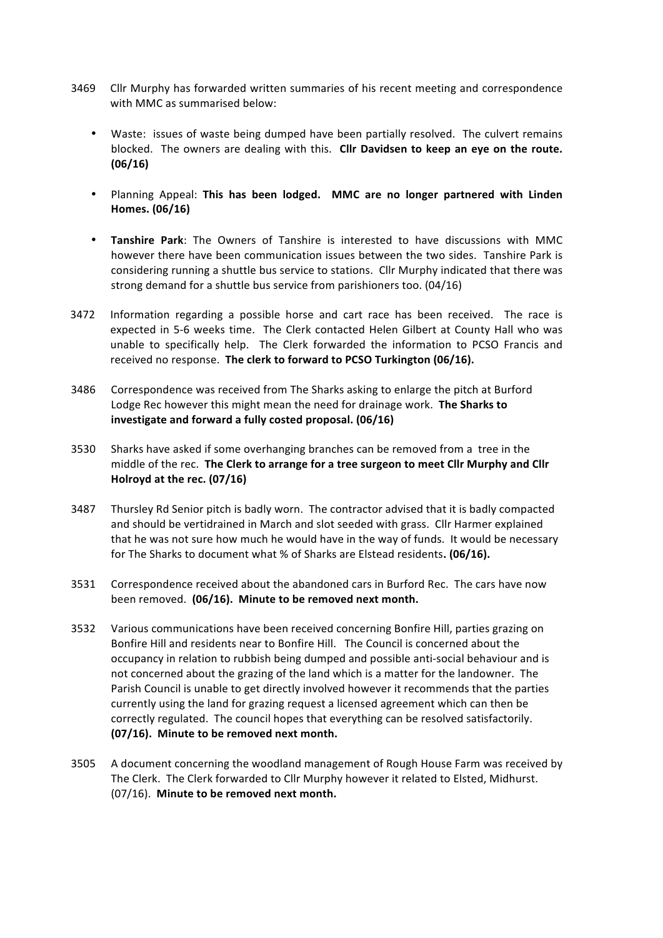- 3469 Cllr Murphy has forwarded written summaries of his recent meeting and correspondence with MMC as summarised below:
	- Waste: issues of waste being dumped have been partially resolved. The culvert remains blocked. The owners are dealing with this. Cllr Davidsen to keep an eye on the route. **(06/16)**
	- Planning Appeal: This has been lodged. MMC are no longer partnered with Linden **Homes. (06/16)**
	- **Tanshire Park:** The Owners of Tanshire is interested to have discussions with MMC however there have been communication issues between the two sides. Tanshire Park is considering running a shuttle bus service to stations. Cllr Murphy indicated that there was strong demand for a shuttle bus service from parishioners too. (04/16)
- 3472 Information regarding a possible horse and cart race has been received. The race is expected in 5-6 weeks time. The Clerk contacted Helen Gilbert at County Hall who was unable to specifically help. The Clerk forwarded the information to PCSO Francis and received no response. The clerk to forward to PCSO Turkington (06/16).
- 3486 Correspondence was received from The Sharks asking to enlarge the pitch at Burford Lodge Rec however this might mean the need for drainage work. The Sharks to investigate and forward a fully costed proposal. (06/16)
- 3530 Sharks have asked if some overhanging branches can be removed from a tree in the middle of the rec. The Clerk to arrange for a tree surgeon to meet Cllr Murphy and Cllr **Holroyd at the rec. (07/16)**
- 3487 Thursley Rd Senior pitch is badly worn. The contractor advised that it is badly compacted and should be vertidrained in March and slot seeded with grass. Cllr Harmer explained that he was not sure how much he would have in the way of funds. It would be necessary for The Sharks to document what % of Sharks are Elstead residents. (06/16).
- 3531 Correspondence received about the abandoned cars in Burford Rec. The cars have now been removed. (06/16). Minute to be removed next month.
- 3532 Various communications have been received concerning Bonfire Hill, parties grazing on Bonfire Hill and residents near to Bonfire Hill. The Council is concerned about the occupancy in relation to rubbish being dumped and possible anti-social behaviour and is not concerned about the grazing of the land which is a matter for the landowner. The Parish Council is unable to get directly involved however it recommends that the parties currently using the land for grazing request a licensed agreement which can then be correctly regulated. The council hopes that everything can be resolved satisfactorily. **(07/16).** Minute to be removed next month.
- 3505 A document concerning the woodland management of Rough House Farm was received by The Clerk. The Clerk forwarded to Cllr Murphy however it related to Elsted, Midhurst. (07/16). Minute to be removed next month.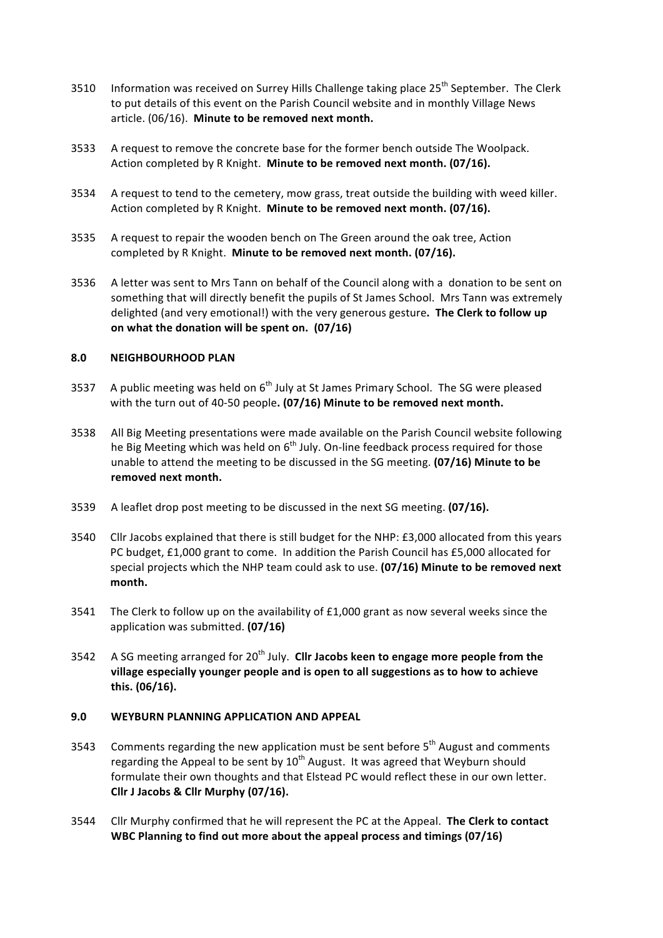- 3510 Information was received on Surrey Hills Challenge taking place 25<sup>th</sup> September. The Clerk to put details of this event on the Parish Council website and in monthly Village News article. (06/16). Minute to be removed next month.
- 3533 A request to remove the concrete base for the former bench outside The Woolpack. Action completed by R Knight. Minute to be removed next month. (07/16).
- 3534 A request to tend to the cemetery, mow grass, treat outside the building with weed killer. Action completed by R Knight. **Minute to be removed next month.** (07/16).
- 3535 A request to repair the wooden bench on The Green around the oak tree, Action completed by R Knight. Minute to be removed next month. (07/16).
- 3536 A letter was sent to Mrs Tann on behalf of the Council along with a donation to be sent on something that will directly benefit the pupils of St James School. Mrs Tann was extremely delighted (and very emotional!) with the very generous gesture. The Clerk to follow up on what the donation will be spent on. (07/16)

#### **8.0 NEIGHBOURHOOD PLAN**

- 3537 A public meeting was held on  $6<sup>th</sup>$  July at St James Primary School. The SG were pleased with the turn out of 40-50 people. (07/16) Minute to be removed next month.
- 3538 All Big Meeting presentations were made available on the Parish Council website following he Big Meeting which was held on  $6<sup>th</sup>$  July. On-line feedback process required for those unable to attend the meeting to be discussed in the SG meeting. **(07/16) Minute to be** removed next month.
- 3539 A leaflet drop post meeting to be discussed in the next SG meeting. **(07/16).**
- 3540 Cllr Jacobs explained that there is still budget for the NHP: £3,000 allocated from this years PC budget, £1,000 grant to come. In addition the Parish Council has £5,000 allocated for special projects which the NHP team could ask to use. (07/16) Minute to be removed next **month.**
- 3541 The Clerk to follow up on the availability of  $£1,000$  grant as now several weeks since the application was submitted. **(07/16)**
- 3542 A SG meeting arranged for 20<sup>th</sup> July. **Clir Jacobs keen to engage more people from the** village especially younger people and is open to all suggestions as to how to achieve **this. (06/16).**

#### **9.0 WEYBURN PLANNING APPLICATION AND APPEAL**

- 3543 Comments regarding the new application must be sent before  $5<sup>th</sup>$  August and comments regarding the Appeal to be sent by  $10^{th}$  August. It was agreed that Weyburn should formulate their own thoughts and that Elstead PC would reflect these in our own letter. **Cllr J Jacobs & Cllr Murphy (07/16).**
- 3544 Cllr Murphy confirmed that he will represent the PC at the Appeal. The Clerk to contact WBC Planning to find out more about the appeal process and timings (07/16)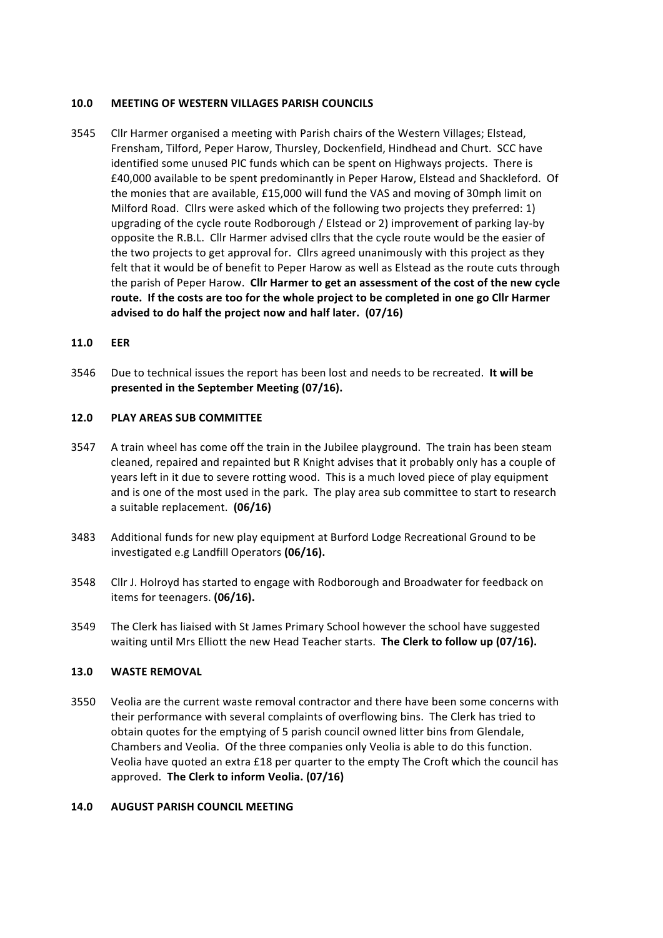## **10.0 MEETING OF WESTERN VILLAGES PARISH COUNCILS**

3545 Cllr Harmer organised a meeting with Parish chairs of the Western Villages; Elstead, Frensham, Tilford, Peper Harow, Thursley, Dockenfield, Hindhead and Churt. SCC have identified some unused PIC funds which can be spent on Highways projects. There is £40,000 available to be spent predominantly in Peper Harow, Elstead and Shackleford. Of the monies that are available,  $£15,000$  will fund the VAS and moving of 30mph limit on Milford Road. Cllrs were asked which of the following two projects they preferred:  $1$ ) upgrading of the cycle route Rodborough / Elstead or 2) improvement of parking lay-by opposite the R.B.L. Cllr Harmer advised cllrs that the cycle route would be the easier of the two projects to get approval for. Cllrs agreed unanimously with this project as they felt that it would be of benefit to Peper Harow as well as Elstead as the route cuts through the parish of Peper Harow. Cllr Harmer to get an assessment of the cost of the new cycle route. If the costs are too for the whole project to be completed in one go Cllr Harmer advised to do half the project now and half later. (07/16)

#### **11.0 EER**

3546 Due to technical issues the report has been lost and needs to be recreated. It will be **presented in the September Meeting (07/16).** 

#### **12.0 PLAY AREAS SUB COMMITTEE**

- 3547 A train wheel has come off the train in the Jubilee playground. The train has been steam cleaned, repaired and repainted but R Knight advises that it probably only has a couple of years left in it due to severe rotting wood. This is a much loved piece of play equipment and is one of the most used in the park. The play area sub committee to start to research a suitable replacement. **(06/16)**
- 3483 Additional funds for new play equipment at Burford Lodge Recreational Ground to be investigated e.g Landfill Operators (06/16).
- 3548 Cllr J. Holroyd has started to engage with Rodborough and Broadwater for feedback on items for teenagers. **(06/16).**
- 3549 The Clerk has liaised with St James Primary School however the school have suggested waiting until Mrs Elliott the new Head Teacher starts. The Clerk to follow up (07/16).

#### **13.0 WASTE REMOVAL**

3550 Veolia are the current waste removal contractor and there have been some concerns with their performance with several complaints of overflowing bins. The Clerk has tried to obtain quotes for the emptying of 5 parish council owned litter bins from Glendale, Chambers and Veolia. Of the three companies only Veolia is able to do this function. Veolia have quoted an extra £18 per quarter to the empty The Croft which the council has approved. **The Clerk to inform Veolia. (07/16)**

#### **14.0 AUGUST PARISH COUNCIL MEETING**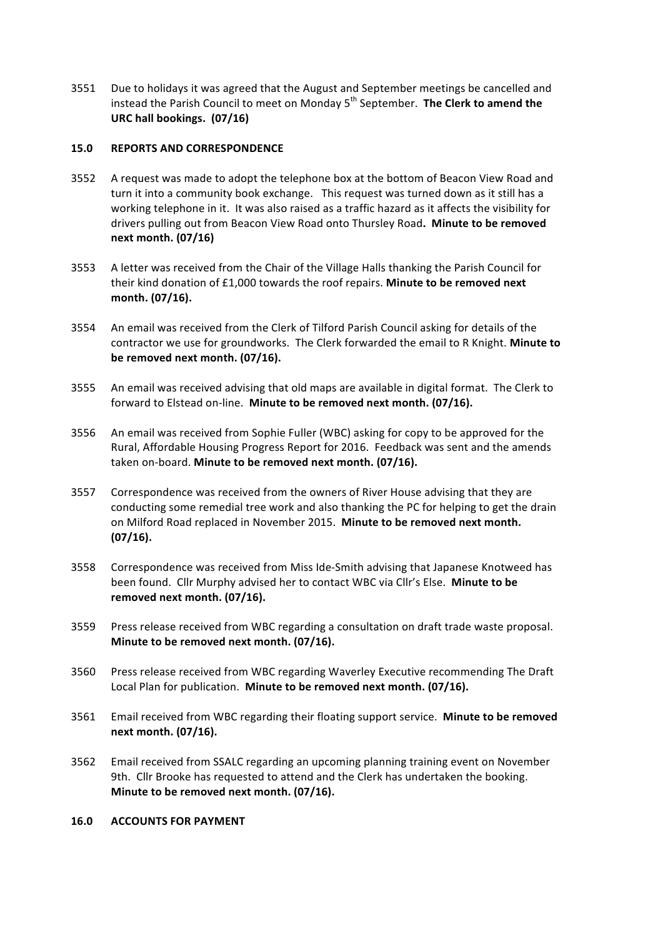3551 Due to holidays it was agreed that the August and September meetings be cancelled and instead the Parish Council to meet on Monday 5<sup>th</sup> September. **The Clerk to amend the** URC hall bookings. (07/16)

## **15.0 REPORTS AND CORRESPONDENCE**

- 3552 A request was made to adopt the telephone box at the bottom of Beacon View Road and turn it into a community book exchange. This request was turned down as it still has a working telephone in it. It was also raised as a traffic hazard as it affects the visibility for drivers pulling out from Beacon View Road onto Thursley Road. Minute to be removed **next month. (07/16)**
- 3553 A letter was received from the Chair of the Village Halls thanking the Parish Council for their kind donation of £1,000 towards the roof repairs. Minute to be removed next **month. (07/16).**
- 3554 An email was received from the Clerk of Tilford Parish Council asking for details of the contractor we use for groundworks. The Clerk forwarded the email to R Knight. Minute to be removed next month. (07/16).
- 3555 An email was received advising that old maps are available in digital format. The Clerk to forward to Elstead on-line. Minute to be removed next month. (07/16).
- 3556 An email was received from Sophie Fuller (WBC) asking for copy to be approved for the Rural, Affordable Housing Progress Report for 2016. Feedback was sent and the amends taken on-board. **Minute to be removed next month.** (07/16).
- 3557 Correspondence was received from the owners of River House advising that they are conducting some remedial tree work and also thanking the PC for helping to get the drain on Milford Road replaced in November 2015. Minute to be removed next month. **(07/16).**
- 3558 Correspondence was received from Miss Ide-Smith advising that Japanese Knotweed has been found. Cllr Murphy advised her to contact WBC via Cllr's Else. Minute to be removed next month. (07/16).
- 3559 Press release received from WBC regarding a consultation on draft trade waste proposal. **Minute to be removed next month. (07/16).**
- 3560 Press release received from WBC regarding Waverley Executive recommending The Draft Local Plan for publication. Minute to be removed next month. (07/16).
- 3561 Email received from WBC regarding their floating support service. Minute to be removed **next month. (07/16).**
- 3562 Email received from SSALC regarding an upcoming planning training event on November 9th. Cllr Brooke has requested to attend and the Clerk has undertaken the booking. **Minute to be removed next month. (07/16).**
- **16.0 ACCOUNTS FOR PAYMENT**